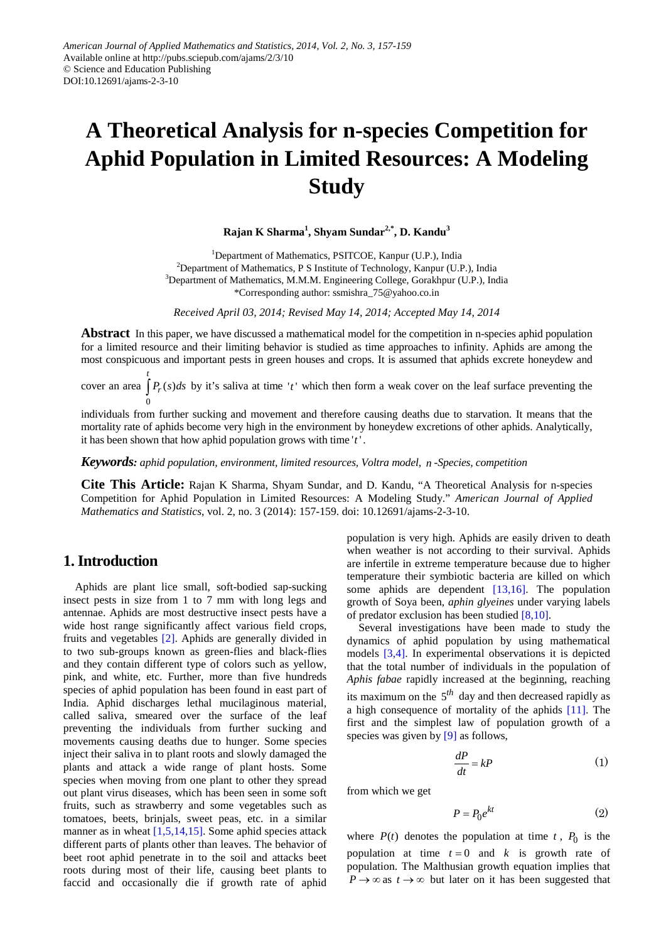# **A Theoretical Analysis for n-species Competition for Aphid Population in Limited Resources: A Modeling Study**

**Rajan K Sharma<sup>1</sup> , Shyam Sundar2,\*, D. Kandu3**

<sup>1</sup>Department of Mathematics, PSITCOE, Kanpur (U.P.), India <sup>2</sup>Department of Mathematics, P S Institute of Technology, Kanpur (U.P.), India <sup>3</sup>Department of Mathematics, M.M.M. Engineering College, Gorakhpur (U.P.), India \*Corresponding author: ssmishra\_75@yahoo.co.in

*Received April 03, 2014; Revised May 14, 2014; Accepted May 14, 2014*

**Abstract** In this paper, we have discussed a mathematical model for the competition in n-species aphid population for a limited resource and their limiting behavior is studied as time approaches to infinity. Aphids are among the most conspicuous and important pests in green houses and crops. It is assumed that aphids excrete honeydew and

cover an area  $\int P_r(s)ds$  by it's saliva at time 't' which then form a weak cover on the leaf surface preventing the  $\boldsymbol{0}$ 

individuals from further sucking and movement and therefore causing deaths due to starvation. It means that the mortality rate of aphids become very high in the environment by honeydew excretions of other aphids. Analytically, it has been shown that how aphid population grows with time  $'t'$ .

*Keywords: aphid population, environment, limited resources, Voltra model, n -Species, competition*

**Cite This Article:** Rajan K Sharma, Shyam Sundar, and D. Kandu, "A Theoretical Analysis for n-species Competition for Aphid Population in Limited Resources: A Modeling Study." *American Journal of Applied Mathematics and Statistics*, vol. 2, no. 3 (2014): 157-159. doi: 10.12691/ajams-2-3-10.

## **1. Introduction**

*t*

Aphids are plant lice small, soft-bodied sap-sucking insect pests in size from 1 to 7 mm with long legs and antennae. Aphids are most destructive insect pests have a wide host range significantly affect various field crops, fruits and vegetables [\[2\].](#page-2-0) Aphids are generally divided in to two sub-groups known as green-flies and black-flies and they contain different type of colors such as yellow, pink, and white, etc. Further, more than five hundreds species of aphid population has been found in east part of India. Aphid discharges lethal mucilaginous material, called saliva, smeared over the surface of the leaf preventing the individuals from further sucking and movements causing deaths due to hunger. Some species inject their saliva in to plant roots and slowly damaged the plants and attack a wide range of plant hosts. Some species when moving from one plant to other they spread out plant virus diseases, which has been seen in some soft fruits, such as strawberry and some vegetables such as tomatoes, beets, brinjals, sweet peas, etc. in a similar manner as in wheat  $[1,5,14,15]$ . Some aphid species attack different parts of plants other than leaves. The behavior of beet root aphid penetrate in to the soil and attacks beet roots during most of their life, causing beet plants to faccid and occasionally die if growth rate of aphid

population is very high. Aphids are easily driven to death when weather is not according to their survival. Aphids are infertile in extreme temperature because due to higher temperature their symbiotic bacteria are killed on which some aphids are dependent [\[13,16\].](#page-2-2) The population growth of Soya been, *aphin glyeines* under varying labels of predator exclusion has been studied [\[8,10\].](#page-2-3)

Several investigations have been made to study the dynamics of aphid population by using mathematical models [\[3,4\].](#page-2-4) In experimental observations it is depicted that the total number of individuals in the population of *Aphis fabae* rapidly increased at the beginning, reaching its maximum on the 5*th* day and then decreased rapidly as a high consequence of mortality of the aphids [\[11\].](#page-2-5) The first and the simplest law of population growth of a species was given by [\[9\]](#page-2-6) as follows,

$$
\frac{dP}{dt} = kP\tag{1}
$$

from which we get

$$
P = P_0 e^{kt} \tag{2}
$$

where  $P(t)$  denotes the population at time  $t$ ,  $P_0$  is the population at time  $t = 0$  and  $k$  is growth rate of population. The Malthusian growth equation implies that  $P \rightarrow \infty$  as  $t \rightarrow \infty$  but later on it has been suggested that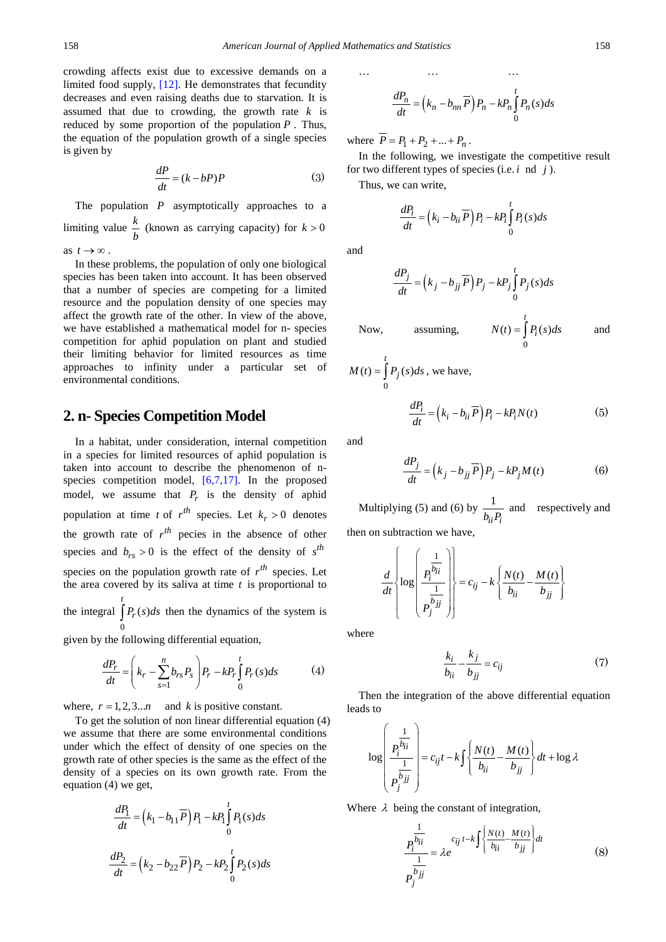crowding affects exist due to excessive demands on a limited food supply, [\[12\].](#page-2-7) He demonstrates that fecundity decreases and even raising deaths due to starvation. It is assumed that due to crowding, the growth rate  $k$  is reduced by some proportion of the population *P* . Thus, the equation of the population growth of a single species is given by

$$
\frac{dP}{dt} = (k - bP)P\tag{3}
$$

The population *P* asymptotically approaches to a limiting value  $\frac{k}{b}$  (known as carrying capacity) for  $k > 0$ 

as  $t \rightarrow \infty$ .

In these problems, the population of only one biological species has been taken into account. It has been observed that a number of species are competing for a limited resource and the population density of one species may affect the growth rate of the other. In view of the above, we have established a mathematical model for n- species competition for aphid population on plant and studied their limiting behavior for limited resources as time approaches to infinity under a particular set of environmental conditions.

### **2. n- Species Competition Model**

In a habitat, under consideration, internal competition in a species for limited resources of aphid population is taken into account to describe the phenomenon of nspecies competition model, [\[6,7,17\].](#page-2-8) In the proposed model, we assume that  $P_r$  is the density of aphid population at time *t* of  $r^{th}$  species. Let  $k_r > 0$  denotes the growth rate of  $r^{th}$  pecies in the absence of other species and  $b_{rs} > 0$  is the effect of the density of  $s^{th}$ species on the population growth rate of  $r^{th}$  species. Let the area covered by its saliva at time *t* is proportional to the integral  $\big| P_r(s)$ *t*  $\int P_r(s)ds$  then the dynamics of the system is

given by the following differential equation,

 $\boldsymbol{0}$ 

$$
\frac{dP_r}{dt} = \left(k_r - \sum_{s=1}^n b_{rs} P_s\right) P_r - k P_r \int_0^t P_r(s) ds \tag{4}
$$

where,  $r = 1, 2, 3...n$  and *k* is positive constant.

To get the solution of non linear differential equation (4) we assume that there are some environmental conditions under which the effect of density of one species on the growth rate of other species is the same as the effect of the density of a species on its own growth rate. From the equation (4) we get,

$$
\frac{dP_1}{dt} = \left(k_1 - b_{11}\overline{P}\right)P_1 - kP_1 \int_0^t P_1(s)ds
$$

$$
\frac{dP_2}{dt} = \left(k_2 - b_{22}\overline{P}\right)P_2 - kP_2 \int_0^t P_2(s)ds
$$

$$
\frac{dP_n}{dt} = \left(k_n - b_{nn}\overline{P}\right)P_n - kP_n \int_0^t P_n(s)ds
$$

… … …

where  $\overline{P} = P_1 + P_2 + ... + P_n$ .

In the following, we investigate the competitive result for two different types of species (i.e. *i* nd *j* ).

Thus, we can write,

$$
\frac{dP_i}{dt} = \left(k_i - b_{ii}\overline{P}\right)P_i - kP_i \int_0^t P_i(s)ds
$$

and

$$
\frac{dP_j}{dt} = \left(k_j - b_{jj}\overline{P}\right)P_j - kP_j \int_0^t P_j(s)ds
$$

Now, assuming,  $\mathbf{0}$  $(t) = | P_i(s)$ *t*  $N(t) = \int P_i(s)ds$  and

$$
M(t) = \int_{0}^{t} P_j(s) ds
$$
, we have,

and

$$
\frac{dP_j}{dt} = \left(k_j - b_{jj}\overline{P}\right)P_j - kP_jM(t) \tag{6}
$$

 $\frac{dP_i}{dt} = (k_i - b_{ii} \overline{P}) P_i - k P_i N(t)$  (5)

Multiplying (5) and (6) by  $\frac{1}{1}$  $\frac{1}{b_{ii}P_i}$  and respectively and then on subtraction we have,

$$
\frac{d}{dt} \left\{ \log \left( \frac{\frac{1}{P_j^{b_{ii}}}}{P_j^{b_{jj}}} \right) \right\} = c_{ij} - k \left\{ \frac{N(t)}{b_{ii}} - \frac{M(t)}{b_{jj}} \right\}
$$

where

$$
\frac{k_i}{b_{ii}} - \frac{k_j}{b_{jj}} = c_{ij} \tag{7}
$$

Then the integration of the above differential equation leads to

$$
\log \left( \frac{\frac{1}{P_i^{\frac{1}{b_{ij}}}}}{P_j^{\frac{1}{b_{jj}}}} \right) = c_{ij}t - k \int \left\{ \frac{N(t)}{b_{ii}} - \frac{M(t)}{b_{jj}} \right\} dt + \log \lambda
$$

Where  $\lambda$  being the constant of integration,

$$
\frac{P_i^{\overline{b_{ii}}}}{P_j^{\overline{b_{jj}}}} = \lambda e^{c_{ij}t - k \int \left\{ \frac{N(t) - M(t)}{b_{ii} - b_{jj}} \right\} dt}
$$
(8)